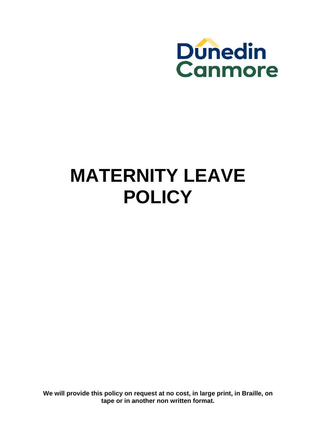

# **MATERNITY LEAVE POLICY**

**We will provide this policy on request at no cost, in large print, in Braille, on tape or in another non written format.**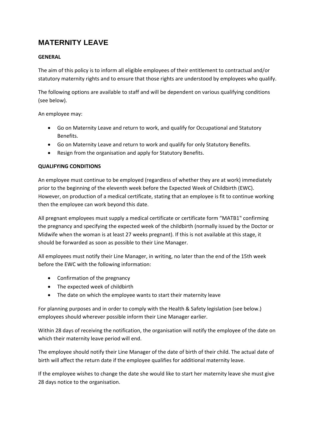# **MATERNITY LEAVE**

# **GENERAL**

The aim of this policy is to inform all eligible employees of their entitlement to contractual and/or statutory maternity rights and to ensure that those rights are understood by employees who qualify.

The following options are available to staff and will be dependent on various qualifying conditions (see below).

An employee may:

- Go on Maternity Leave and return to work, and qualify for Occupational and Statutory Benefits.
- Go on Maternity Leave and return to work and qualify for only Statutory Benefits.
- Resign from the organisation and apply for Statutory Benefits.

# **QUALIFYING CONDITIONS**

An employee must continue to be employed (regardless of whether they are at work) immediately prior to the beginning of the eleventh week before the Expected Week of Childbirth (EWC). However, on production of a medical certificate, stating that an employee is fit to continue working then the employee can work beyond this date.

All pregnant employees must supply a medical certificate or certificate form "MATB1" confirming the pregnancy and specifying the expected week of the childbirth (normally issued by the Doctor or Midwife when the woman is at least 27 weeks pregnant). If this is not available at this stage, it should be forwarded as soon as possible to their Line Manager.

All employees must notify their Line Manager, in writing, no later than the end of the 15th week before the EWC with the following information:

- Confirmation of the pregnancy
- The expected week of childbirth
- The date on which the employee wants to start their maternity leave

For planning purposes and in order to comply with the Health & Safety legislation (see below.) employees should wherever possible inform their Line Manager earlier.

Within 28 days of receiving the notification, the organisation will notify the employee of the date on which their maternity leave period will end.

The employee should notify their Line Manager of the date of birth of their child. The actual date of birth will affect the return date if the employee qualifies for additional maternity leave.

If the employee wishes to change the date she would like to start her maternity leave she must give 28 days notice to the organisation.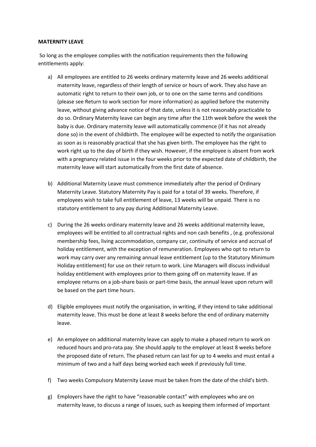#### **MATERNITY LEAVE**

So long as the employee complies with the notification requirements then the following entitlements apply:

- a) All employees are entitled to 26 weeks ordinary maternity leave and 26 weeks additional maternity leave, regardless of their length of service or hours of work. They also have an automatic right to return to their own job, or to one on the same terms and conditions (please see Return to work section for more information) as applied before the maternity leave, without giving advance notice of that date, unless it is not reasonably practicable to do so. Ordinary Maternity leave can begin any time after the 11th week before the week the baby is due. Ordinary maternity leave will automatically commence (if it has not already done so) in the event of childbirth. The employee will be expected to notify the organisation as soon as is reasonably practical that she has given birth. The employee has the right to work right up to the day of birth if they wish. However, if the employee is absent from work with a pregnancy related issue in the four weeks prior to the expected date of childbirth, the maternity leave will start automatically from the first date of absence.
- b) Additional Maternity Leave must commence immediately after the period of Ordinary Maternity Leave. Statutory Maternity Pay is paid for a total of 39 weeks. Therefore, if employees wish to take full entitlement of leave, 13 weeks will be unpaid. There is no statutory entitlement to any pay during Additional Maternity Leave.
- c) During the 26 weeks ordinary maternity leave and 26 weeks additional maternity leave, employees will be entitled to all contractual rights and non cash benefits , (e.g. professional membership fees, living accommodation, company car, continuity of service and accrual of holiday entitlement, with the exception of remuneration. Employees who opt to return to work may carry over any remaining annual leave entitlement (up to the Statutory Minimum Holiday entitlement) for use on their return to work. Line Managers will discuss individual holiday entitlement with employees prior to them going off on maternity leave. If an employee returns on a job-share basis or part-time basis, the annual leave upon return will be based on the part time hours.
- d) Eligible employees must notify the organisation, in writing, if they intend to take additional maternity leave. This must be done at least 8 weeks before the end of ordinary maternity leave.
- e) An employee on additional maternity leave can apply to make a phased return to work on reduced hours and pro-rata pay. She should apply to the employer at least 8 weeks before the proposed date of return. The phased return can last for up to 4 weeks and must entail a minimum of two and a half days being worked each week if previously full time.
- f) Two weeks Compulsory Maternity Leave must be taken from the date of the child's birth.
- g) Employers have the right to have "reasonable contact" with employees who are on maternity leave, to discuss a range of issues, such as keeping them informed of important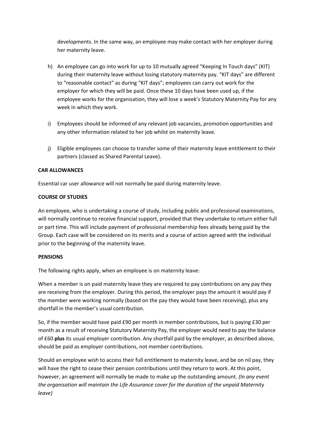developments. In the same way, an employee may make contact with her employer during her maternity leave.

- h) An employee can go into work for up to 10 mutually agreed "Keeping In Touch days" (KIT) during their maternity leave without losing statutory maternity pay. "KIT days" are different to "reasonable contact" as during "KIT days"; employees can carry out work for the employer for which they will be paid. Once these 10 days have been used up, if the employee works for the organisation, they will lose a week's Statutory Maternity Pay for any week in which they work.
- i) Employees should be informed of any relevant job vacancies, promotion opportunities and any other information related to her job whilst on maternity leave.
- j) Eligible employees can choose to transfer some of their maternity leave entitlement to their partners (classed as Shared Parental Leave).

## **CAR ALLOWANCES**

Essential car user allowance will not normally be paid during maternity leave.

# **COURSE OF STUDIES**

An employee, who is undertaking a course of study, including public and professional examinations, will normally continue to receive financial support, provided that they undertake to return either full or part time. This will include payment of professional membership fees already being paid by the Group. Each case will be considered on its merits and a course of action agreed with the individual prior to the beginning of the maternity leave.

## **PENSIONS**

The following rights apply, when an employee is on maternity leave:

When a member is on paid maternity leave they are required to pay contributions on any pay they are receiving from the employer. During this period, the employer pays the amount it would pay if the member were working normally (based on the pay they would have been receiving), plus any shortfall in the member's usual contribution.

So, if the member would have paid £90 per month in member contributions, but is paying £30 per month as a result of receiving Statutory Maternity Pay, the employer would need to pay the balance of £60 **plus** its usual employer contribution. Any shortfall paid by the employer, as described above, should be paid as employer contributions, not member contributions.

Should an employee wish to access their full entitlement to maternity leave, and be on nil pay, they will have the right to cease their pension contributions until they return to work. At this point, however, an agreement will normally be made to make up the outstanding amount. *(In any event the organisation will maintain the Life Assurance cover for the duration of the unpaid Maternity leave)*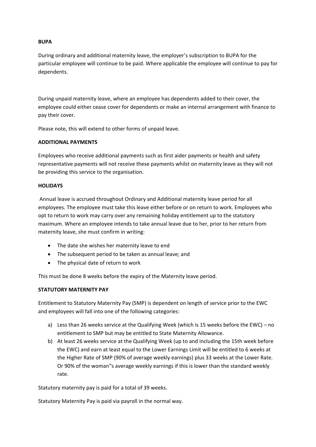## **BUPA**

During ordinary and additional maternity leave, the employer's subscription to BUPA for the particular employee will continue to be paid. Where applicable the employee will continue to pay for dependents.

During unpaid maternity leave, where an employee has dependents added to their cover, the employee could either cease cover for dependents or make an internal arrangement with finance to pay their cover.

Please note, this will extend to other forms of unpaid leave.

# **ADDITIONAL PAYMENTS**

Employees who receive additional payments such as first aider payments or health and safety representative payments will not receive these payments whilst on maternity leave as they will not be providing this service to the organisation.

# **HOLIDAYS**

Annual leave is accrued throughout Ordinary and Additional maternity leave period for all employees. The employee must take this leave either before or on return to work. Employees who opt to return to work may carry over any remaining holiday entitlement up to the statutory maximum. Where an employee intends to take annual leave due to her, prior to her return from maternity leave, she must confirm in writing:

- The date she wishes her maternity leave to end
- The subsequent period to be taken as annual leave; and
- The physical date of return to work

This must be done 8 weeks before the expiry of the Maternity leave period.

# **STATUTORY MATERNITY PAY**

Entitlement to Statutory Maternity Pay (SMP) is dependent on length of service prior to the EWC and employees will fall into one of the following categories:

- a) Less than 26 weeks service at the Qualifying Week (which is 15 weeks before the EWC) no entitlement to SMP but may be entitled to State Maternity Allowance.
- b) At least 26 weeks service at the Qualifying Week (up to and including the 15th week before the EWC) and earn at least equal to the Lower Earnings Limit will be entitled to 6 weeks at the Higher Rate of SMP (90% of average weekly earnings) plus 33 weeks at the Lower Rate. Or 90% of the woman"s average weekly earnings if this is lower than the standard weekly rate.

Statutory maternity pay is paid for a total of 39 weeks.

Statutory Maternity Pay is paid via payroll in the normal way.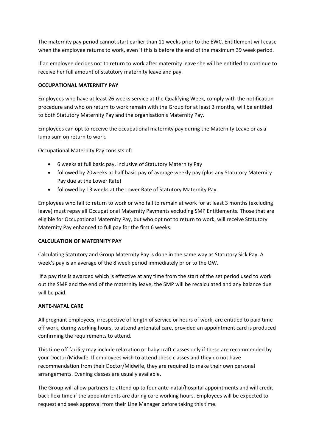The maternity pay period cannot start earlier than 11 weeks prior to the EWC. Entitlement will cease when the employee returns to work, even if this is before the end of the maximum 39 week period.

If an employee decides not to return to work after maternity leave she will be entitled to continue to receive her full amount of statutory maternity leave and pay.

# **OCCUPATIONAL MATERNITY PAY**

Employees who have at least 26 weeks service at the Qualifying Week, comply with the notification procedure and who on return to work remain with the Group for at least 3 months, will be entitled to both Statutory Maternity Pay and the organisation's Maternity Pay.

Employees can opt to receive the occupational maternity pay during the Maternity Leave or as a lump sum on return to work.

Occupational Maternity Pay consists of:

- 6 weeks at full basic pay, inclusive of Statutory Maternity Pay
- followed by 20weeks at half basic pay of average weekly pay (plus any Statutory Maternity Pay due at the Lower Rate)
- followed by 13 weeks at the Lower Rate of Statutory Maternity Pay.

Employees who fail to return to work or who fail to remain at work for at least 3 months (excluding leave) must repay all Occupational Maternity Payments excluding SMP Entitlements**.** Those that are eligible for Occupational Maternity Pay, but who opt not to return to work, will receive Statutory Maternity Pay enhanced to full pay for the first 6 weeks.

## **CALCULATION OF MATERNITY PAY**

Calculating Statutory and Group Maternity Pay is done in the same way as Statutory Sick Pay. A week's pay is an average of the 8 week period immediately prior to the QW.

If a pay rise is awarded which is effective at any time from the start of the set period used to work out the SMP and the end of the maternity leave, the SMP will be recalculated and any balance due will be paid.

## **ANTE‐NATAL CARE**

All pregnant employees, irrespective of length of service or hours of work, are entitled to paid time off work, during working hours, to attend antenatal care, provided an appointment card is produced confirming the requirements to attend.

This time off facility may include relaxation or baby craft classes only if these are recommended by your Doctor/Midwife. If employees wish to attend these classes and they do not have recommendation from their Doctor/Midwife, they are required to make their own personal arrangements. Evening classes are usually available.

The Group will allow partners to attend up to four ante‐natal/hospital appointments and will credit back flexi time if the appointments are during core working hours. Employees will be expected to request and seek approval from their Line Manager before taking this time.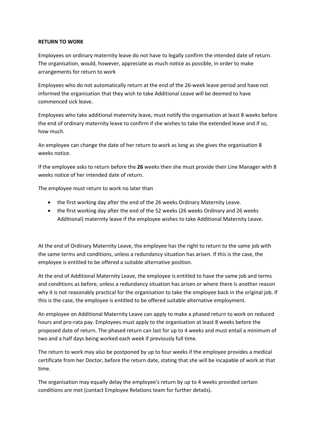#### **RETURN TO WORK**

Employees on ordinary maternity leave do not have to legally confirm the intended date of return. The organisation, would, however, appreciate as much notice as possible, in order to make arrangements for return to work

Employees who do not automatically return at the end of the 26‐week leave period and have not informed the organisation that they wish to take Additional Leave will be deemed to have commenced sick leave.

Employees who take additional maternity leave, must notify the organisation at least 8 weeks before the end of ordinary maternity leave to confirm if she wishes to take the extended leave and if so, how much.

An employee can change the date of her return to work as long as she gives the organisation 8 weeks notice.

If the employee asks to return before the **26** weeks then she must provide their Line Manager with 8 weeks notice of her intended date of return.

The employee must return to work no later than

- the first working day after the end of the 26 weeks Ordinary Maternity Leave.
- the first working day after the end of the 52 weeks (26 weeks Ordinary and 26 weeks Additional) maternity leave if the employee wishes to take Additional Maternity Leave.

At the end of Ordinary Maternity Leave, the employee has the right to return to the same job with the same terms and conditions, unless a redundancy situation has arisen. If this is the case, the employee is entitled to be offered a suitable alternative position.

At the end of Additional Maternity Leave, the employee is entitled to have the same job and terms and conditions as before, unless a redundancy situation has arisen or where there is another reason why it is not reasonably practical for the organisation to take the employee back in the original job. If this is the case, the employee is entitled to be offered suitable alternative employment.

An employee on Additional Maternity Leave can apply to make a phased return to work on reduced hours and pro‐rata pay. Employees must apply to the organisation at least 8 weeks before the proposed date of return. The phased return can last for up to 4 weeks and must entail a minimum of two and a half days being worked each week if previously full time.

The return to work may also be postponed by up to four weeks if the employee provides a medical certificate from her Doctor, before the return date, stating that she will be incapable of work at that time.

The organisation may equally delay the employee's return by up to 4 weeks provided certain conditions are met (contact Employee Relations team for further details).